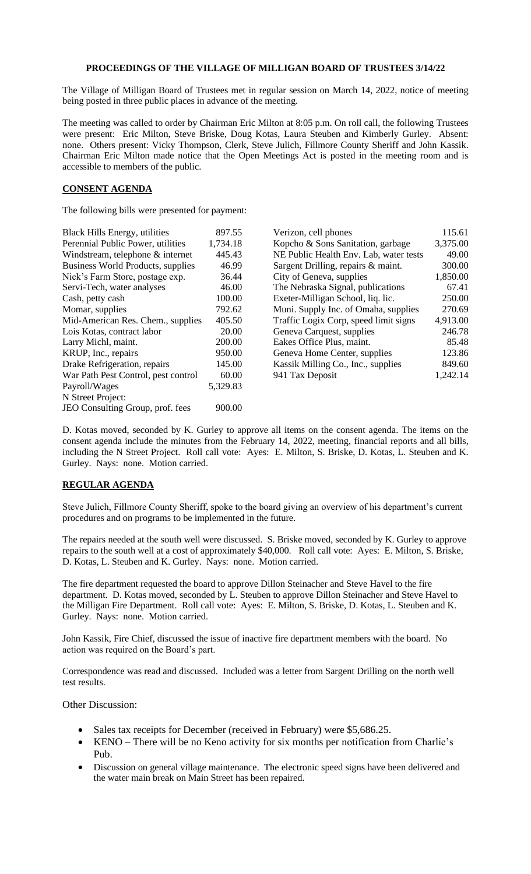## **PROCEEDINGS OF THE VILLAGE OF MILLIGAN BOARD OF TRUSTEES 3/14/22**

The Village of Milligan Board of Trustees met in regular session on March 14, 2022, notice of meeting being posted in three public places in advance of the meeting.

The meeting was called to order by Chairman Eric Milton at 8:05 p.m. On roll call, the following Trustees were present: Eric Milton, Steve Briske, Doug Kotas, Laura Steuben and Kimberly Gurley. Absent: none. Others present: Vicky Thompson, Clerk, Steve Julich, Fillmore County Sheriff and John Kassik. Chairman Eric Milton made notice that the Open Meetings Act is posted in the meeting room and is accessible to members of the public.

## **CONSENT AGENDA**

The following bills were presented for payment:

| Black Hills Energy, utilities       | 897.55   | Verizon, cell phones                   | 115.61   |
|-------------------------------------|----------|----------------------------------------|----------|
| Perennial Public Power, utilities   | 1,734.18 | Kopcho & Sons Sanitation, garbage      | 3,375.00 |
| Windstream, telephone & internet    | 445.43   | NE Public Health Env. Lab, water tests | 49.00    |
| Business World Products, supplies   | 46.99    | Sargent Drilling, repairs & maint.     | 300.00   |
| Nick's Farm Store, postage exp.     | 36.44    | City of Geneva, supplies               | 1,850.00 |
| Servi-Tech, water analyses          | 46.00    | The Nebraska Signal, publications      | 67.41    |
| Cash, petty cash                    | 100.00   | Exeter-Milligan School, liq. lic.      | 250.00   |
| Momar, supplies                     | 792.62   | Muni. Supply Inc. of Omaha, supplies   | 270.69   |
| Mid-American Res. Chem., supplies   | 405.50   | Traffic Logix Corp, speed limit signs  | 4,913.00 |
| Lois Kotas, contract labor          | 20.00    | Geneva Carquest, supplies              | 246.78   |
| Larry Michl, maint.                 | 200.00   | Eakes Office Plus, maint.              | 85.48    |
| KRUP, Inc., repairs                 | 950.00   | Geneva Home Center, supplies           | 123.86   |
| Drake Refrigeration, repairs        | 145.00   | Kassik Milling Co., Inc., supplies     | 849.60   |
| War Path Pest Control, pest control | 60.00    | 941 Tax Deposit                        | 1,242.14 |
| Payroll/Wages                       | 5,329.83 |                                        |          |
| N Street Project:                   |          |                                        |          |
| JEO Consulting Group, prof. fees    | 900.00   |                                        |          |
|                                     |          |                                        |          |

| <b>Black Hills Energy, utilities</b>     | 897.55   | Verizon, cell phones                   | 115.61   |
|------------------------------------------|----------|----------------------------------------|----------|
| Perennial Public Power, utilities        | 1,734.18 | Kopcho & Sons Sanitation, garbage      | 3,375.00 |
| Windstream, telephone & internet         | 445.43   | NE Public Health Env. Lab, water tests | 49.00    |
| <b>Business World Products, supplies</b> | 46.99    | Sargent Drilling, repairs & maint.     | 300.00   |
| Nick's Farm Store, postage exp.          | 36.44    | City of Geneva, supplies               | 1,850.00 |
| Servi-Tech, water analyses               | 46.00    | The Nebraska Signal, publications      | 67.41    |
| Cash, petty cash                         | 100.00   | Exeter-Milligan School, liq. lic.      | 250.00   |
| Momar, supplies                          | 792.62   | Muni. Supply Inc. of Omaha, supplies   | 270.69   |
| Mid-American Res. Chem., supplies        | 405.50   | Traffic Logix Corp, speed limit signs  | 4,913.00 |
| Lois Kotas, contract labor               | 20.00    | Geneva Carquest, supplies              | 246.78   |
| Larry Michl, maint.                      | 200.00   | Eakes Office Plus, maint.              | 85.48    |
| KRUP, Inc., repairs                      | 950.00   | Geneva Home Center, supplies           | 123.86   |
| Drake Refrigeration, repairs             | 145.00   | Kassik Milling Co., Inc., supplies     | 849.60   |
| War Path Pest Control, pest control      | 60.00    | 941 Tax Deposit                        | 1,242.14 |
|                                          |          |                                        |          |

D. Kotas moved, seconded by K. Gurley to approve all items on the consent agenda. The items on the consent agenda include the minutes from the February 14, 2022, meeting, financial reports and all bills, including the N Street Project. Roll call vote: Ayes: E. Milton, S. Briske, D. Kotas, L. Steuben and K. Gurley. Nays: none. Motion carried.

## **REGULAR AGENDA**

Steve Julich, Fillmore County Sheriff, spoke to the board giving an overview of his department's current procedures and on programs to be implemented in the future.

The repairs needed at the south well were discussed. S. Briske moved, seconded by K. Gurley to approve repairs to the south well at a cost of approximately \$40,000. Roll call vote: Ayes: E. Milton, S. Briske, D. Kotas, L. Steuben and K. Gurley. Nays: none. Motion carried.

The fire department requested the board to approve Dillon Steinacher and Steve Havel to the fire department. D. Kotas moved, seconded by L. Steuben to approve Dillon Steinacher and Steve Havel to the Milligan Fire Department. Roll call vote: Ayes: E. Milton, S. Briske, D. Kotas, L. Steuben and K. Gurley. Nays: none. Motion carried.

John Kassik, Fire Chief, discussed the issue of inactive fire department members with the board. No action was required on the Board's part.

Correspondence was read and discussed. Included was a letter from Sargent Drilling on the north well test results.

Other Discussion:

- Sales tax receipts for December (received in February) were \$5,686.25.
- KENO There will be no Keno activity for six months per notification from Charlie's Pub.
- Discussion on general village maintenance. The electronic speed signs have been delivered and the water main break on Main Street has been repaired.